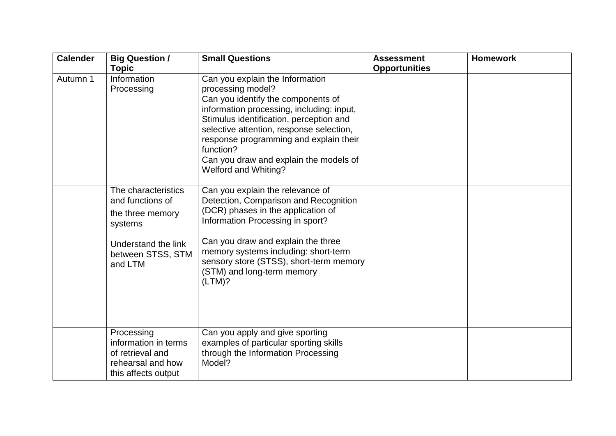| <b>Calender</b> | <b>Big Question /</b>                                                                              | <b>Small Questions</b>                                                                                                                                                                                                                                                                                                                                  | <b>Assessment</b>    | <b>Homework</b> |
|-----------------|----------------------------------------------------------------------------------------------------|---------------------------------------------------------------------------------------------------------------------------------------------------------------------------------------------------------------------------------------------------------------------------------------------------------------------------------------------------------|----------------------|-----------------|
|                 | <b>Topic</b>                                                                                       |                                                                                                                                                                                                                                                                                                                                                         | <b>Opportunities</b> |                 |
| Autumn 1        | Information<br>Processing                                                                          | Can you explain the Information<br>processing model?<br>Can you identify the components of<br>information processing, including: input,<br>Stimulus identification, perception and<br>selective attention, response selection,<br>response programming and explain their<br>function?<br>Can you draw and explain the models of<br>Welford and Whiting? |                      |                 |
|                 | The characteristics<br>and functions of<br>the three memory<br>systems                             | Can you explain the relevance of<br>Detection, Comparison and Recognition<br>(DCR) phases in the application of<br>Information Processing in sport?                                                                                                                                                                                                     |                      |                 |
|                 | Understand the link<br>between STSS, STM<br>and LTM                                                | Can you draw and explain the three<br>memory systems including: short-term<br>sensory store (STSS), short-term memory<br>(STM) and long-term memory<br>(LTM)?                                                                                                                                                                                           |                      |                 |
|                 | Processing<br>information in terms<br>of retrieval and<br>rehearsal and how<br>this affects output | Can you apply and give sporting<br>examples of particular sporting skills<br>through the Information Processing<br>Model?                                                                                                                                                                                                                               |                      |                 |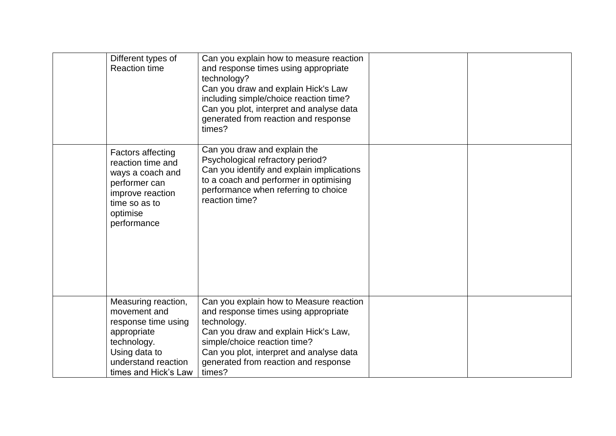| Different types of<br><b>Reaction time</b>                                                                                                               | Can you explain how to measure reaction<br>and response times using appropriate<br>technology?<br>Can you draw and explain Hick's Law<br>including simple/choice reaction time?<br>Can you plot, interpret and analyse data<br>generated from reaction and response<br>times? |  |
|----------------------------------------------------------------------------------------------------------------------------------------------------------|-------------------------------------------------------------------------------------------------------------------------------------------------------------------------------------------------------------------------------------------------------------------------------|--|
| <b>Factors affecting</b><br>reaction time and<br>ways a coach and<br>performer can<br>improve reaction<br>time so as to<br>optimise<br>performance       | Can you draw and explain the<br>Psychological refractory period?<br>Can you identify and explain implications<br>to a coach and performer in optimising<br>performance when referring to choice<br>reaction time?                                                             |  |
| Measuring reaction,<br>movement and<br>response time using<br>appropriate<br>technology.<br>Using data to<br>understand reaction<br>times and Hick's Law | Can you explain how to Measure reaction<br>and response times using appropriate<br>technology.<br>Can you draw and explain Hick's Law,<br>simple/choice reaction time?<br>Can you plot, interpret and analyse data<br>generated from reaction and response<br>times?          |  |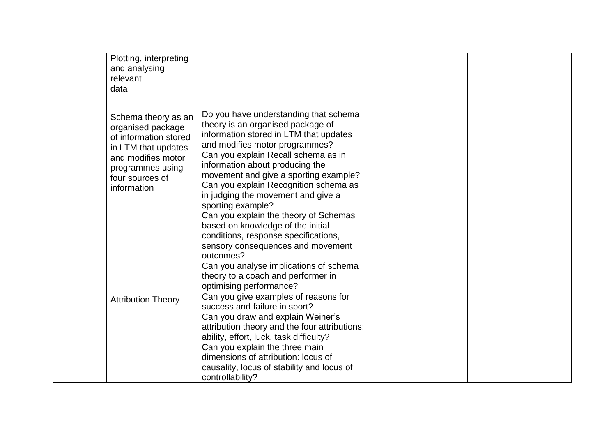| Plotting, interpreting<br>and analysing<br>relevant<br>data                                                                                                          |                                                                                                                                                                                                                                                                                                                                                                                                                                                                                                                                                                                                                                                                  |  |
|----------------------------------------------------------------------------------------------------------------------------------------------------------------------|------------------------------------------------------------------------------------------------------------------------------------------------------------------------------------------------------------------------------------------------------------------------------------------------------------------------------------------------------------------------------------------------------------------------------------------------------------------------------------------------------------------------------------------------------------------------------------------------------------------------------------------------------------------|--|
| Schema theory as an<br>organised package<br>of information stored<br>in LTM that updates<br>and modifies motor<br>programmes using<br>four sources of<br>information | Do you have understanding that schema<br>theory is an organised package of<br>information stored in LTM that updates<br>and modifies motor programmes?<br>Can you explain Recall schema as in<br>information about producing the<br>movement and give a sporting example?<br>Can you explain Recognition schema as<br>in judging the movement and give a<br>sporting example?<br>Can you explain the theory of Schemas<br>based on knowledge of the initial<br>conditions, response specifications,<br>sensory consequences and movement<br>outcomes?<br>Can you analyse implications of schema<br>theory to a coach and performer in<br>optimising performance? |  |
| <b>Attribution Theory</b>                                                                                                                                            | Can you give examples of reasons for<br>success and failure in sport?<br>Can you draw and explain Weiner's<br>attribution theory and the four attributions:<br>ability, effort, luck, task difficulty?<br>Can you explain the three main<br>dimensions of attribution: locus of<br>causality, locus of stability and locus of<br>controllability?                                                                                                                                                                                                                                                                                                                |  |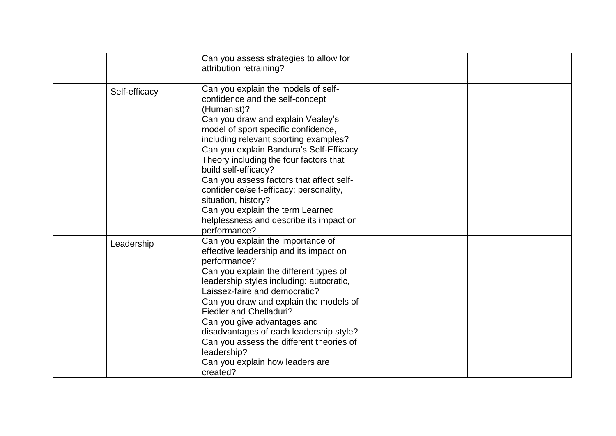|               | Can you assess strategies to allow for<br>attribution retraining?                                                                                                                                                                                                                                                                                                                                                                                                                                                                   |  |
|---------------|-------------------------------------------------------------------------------------------------------------------------------------------------------------------------------------------------------------------------------------------------------------------------------------------------------------------------------------------------------------------------------------------------------------------------------------------------------------------------------------------------------------------------------------|--|
| Self-efficacy | Can you explain the models of self-<br>confidence and the self-concept<br>(Humanist)?<br>Can you draw and explain Vealey's<br>model of sport specific confidence,<br>including relevant sporting examples?<br>Can you explain Bandura's Self-Efficacy<br>Theory including the four factors that<br>build self-efficacy?<br>Can you assess factors that affect self-<br>confidence/self-efficacy: personality,<br>situation, history?<br>Can you explain the term Learned<br>helplessness and describe its impact on<br>performance? |  |
| Leadership    | Can you explain the importance of<br>effective leadership and its impact on<br>performance?<br>Can you explain the different types of<br>leadership styles including: autocratic,<br>Laissez-faire and democratic?<br>Can you draw and explain the models of<br><b>Fiedler and Chelladuri?</b><br>Can you give advantages and<br>disadvantages of each leadership style?<br>Can you assess the different theories of<br>leadership?<br>Can you explain how leaders are<br>created?                                                  |  |